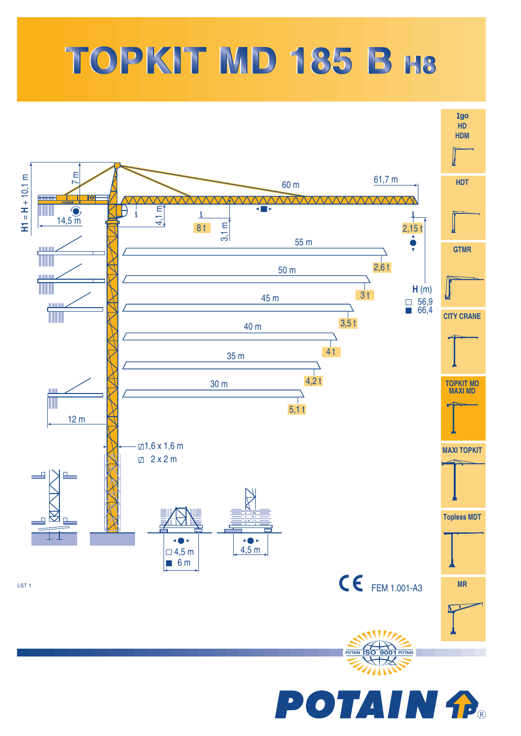## TOPKIT MD 185 B H8

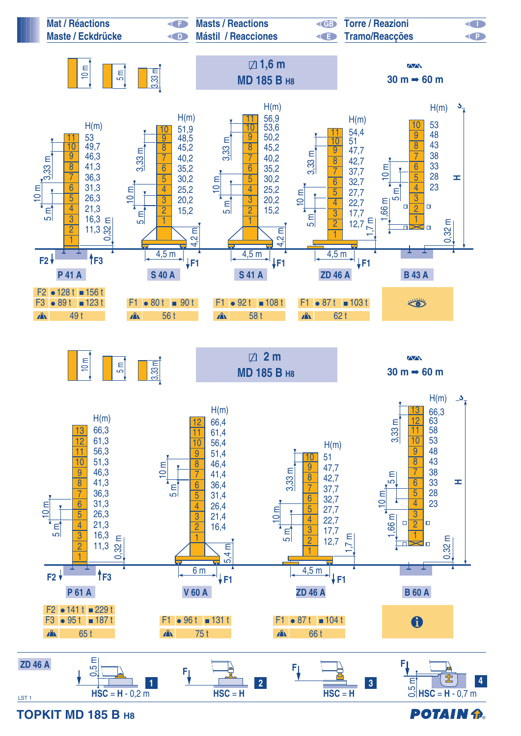

**TOPKIT MD 185 B H8**

**POTAIN P.**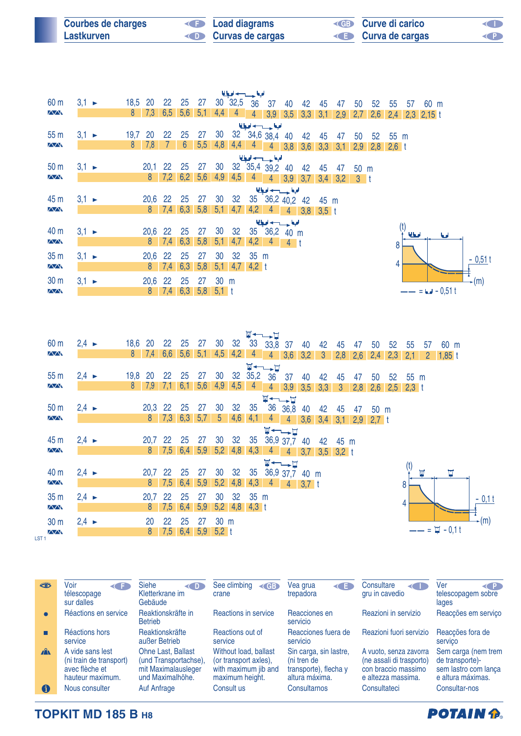| <b>Courbes de charges</b> | <b>Example 2</b> Load diagrams | <b>ED</b> Curve di carico | <b>KID</b> |
|---------------------------|--------------------------------|---------------------------|------------|
| Lastkurven                | Curvas de cargas               | <b>E</b> Curva de cargas  | <b>CP</b>  |

|                 | للقاحس فبا        |  |      |               |                   |                 |     |         |                 |                                                          |                 |                |               |         |                               |      |             |      |        |                          |            |     |           |
|-----------------|-------------------|--|------|---------------|-------------------|-----------------|-----|---------|-----------------|----------------------------------------------------------|-----------------|----------------|---------------|---------|-------------------------------|------|-------------|------|--------|--------------------------|------------|-----|-----------|
| 60 <sub>m</sub> | $3,1 \rightarrow$ |  | 18,5 | <b>20</b>     | 22                | 25              | 27  |         |                 | 30 32,5 36                                               | 37              | 40             | 42            | 45      | 47                            | 50   | 52          | 55   | 57     | 60 m                     |            |     |           |
| $\sqrt{N}$      |                   |  |      | $8 \quad 7,3$ | 6,5               | 5,6             | 5,1 | 4,4     | 4               | 4 <sup>1</sup>                                           |                 |                |               |         | $3,9$ $3,5$ $3,3$ $3,1$ $2,9$ |      |             |      |        | $2,7$ 2,6 2,4 2,3 2,15 t |            |     |           |
|                 |                   |  |      |               |                   |                 |     |         |                 | الملحط حسوب الميا                                        |                 |                |               |         |                               |      |             |      |        |                          |            |     |           |
| 55 <sub>m</sub> | $3,1 -$           |  | 19,7 | 20            | 22                | 25              | 27  | 30      |                 | 32 34,6 38,4                                             |                 | 40             | 42            | 45      | 47                            | 50   | 52          | 55 m |        |                          |            |     |           |
| $\sqrt{N}$      |                   |  | 8    | 7,8           |                   | $6\overline{6}$ | 5,5 | 4,8     |                 |                                                          |                 |                |               |         | 4,4 4 4 3,8 3,6 3,3 3,1       | 2,9  | $2,8$ 2,6 t |      |        |                          |            |     |           |
|                 |                   |  |      |               |                   |                 |     |         |                 | الملجا حسب لحبا                                          |                 |                |               |         |                               |      |             |      |        |                          |            |     |           |
| 50 <sub>m</sub> | $3,1 \rightarrow$ |  |      | 20,1          | 22                | 25              | 27  | 30      |                 | 32 35,4 39,2                                             |                 | 40             | 42            | 45      | 47                            | 50 m |             |      |        |                          |            |     |           |
| $\sqrt{N}$      |                   |  |      | $8^{\circ}$   |                   | $7,2$ 6,2 5,6   |     | 4,9     | 4,5             | $\sim$ 4                                                 |                 |                |               |         | 4 3,9 3,7 3,4 3,2 3 t         |      |             |      |        |                          |            |     |           |
|                 |                   |  |      |               |                   |                 |     |         |                 |                                                          | الملجا حسب اديا |                |               |         |                               |      |             |      |        |                          |            |     |           |
| 45 m            | $3,1 \rightarrow$ |  |      | 20,6 22       |                   | 25              | 27  | 30      | 32              |                                                          | 35 36,2 40,2    |                |               | 42 45 m |                               |      |             |      |        |                          |            |     |           |
| $\sqrt{N}$      |                   |  |      |               | $8 \mid 7,4 \mid$ | $6,3$ $5,8$     |     |         | $5,1$ 4,7       |                                                          | $4,2$ 4         |                | $4$ 3,8 3,5 t |         |                               |      |             |      |        |                          |            |     |           |
|                 |                   |  |      |               |                   |                 |     |         |                 |                                                          | الملجا حسب لحبا |                |               |         |                               |      |             |      |        |                          |            |     |           |
| 40 m            | $3,1 \rightarrow$ |  |      | 20,6          | -22               | 25              | 27  | 30      | 32              |                                                          | 35 36,2 40 m    |                |               |         |                               |      |             |      | امغانا |                          | <b>b</b> d |     |           |
| $\sqrt{N}$      |                   |  |      |               | $8 \quad 7,4$     | 6,3             | 5,8 | 5,1     | 4,7             | 4,2                                                      | $-4$            | 4 <sup>t</sup> |               |         |                               |      |             | 8    |        |                          |            |     |           |
| 35 <sub>m</sub> | $3,1 -$           |  |      | 20,6 22       |                   | 25              | 27  | 30      | 32 <sup>°</sup> | $35 \text{ m}$                                           |                 |                |               |         |                               |      |             |      |        |                          |            |     |           |
| $\sqrt{N}$      |                   |  |      |               | $8 \t 7,4$        | 6,3             | 5,8 | 5,1     |                 | $\begin{array}{ c c c c c c } 4,2 & 4,2 & 1 \end{array}$ |                 |                |               |         |                               |      |             |      |        |                          |            |     | $-0,51$ t |
|                 |                   |  |      |               |                   |                 |     |         |                 |                                                          |                 |                |               |         |                               |      |             |      |        |                          |            |     |           |
| 30 <sub>m</sub> | $3,1 -$           |  |      | 20,6          | -22               | 25              | 27  | 30 m    |                 |                                                          |                 |                |               |         |                               |      |             |      |        |                          |            | (m) |           |
| $\sqrt{N}$      |                   |  |      | 8             |                   | $7,4$ 6,3 5,8   |     | $5,1$ t |                 |                                                          |                 |                |               |         |                               |      |             |      |        | $-- = 6 - 0.51t$         |            |     |           |

|                  |                   |         |                |     |           |             |                 |     | $\overline{M}$ |                                    |                                                          |     |                           |              |     |      |     |                |                         |                 |          |
|------------------|-------------------|---------|----------------|-----|-----------|-------------|-----------------|-----|----------------|------------------------------------|----------------------------------------------------------|-----|---------------------------|--------------|-----|------|-----|----------------|-------------------------|-----------------|----------|
| 60 <sub>m</sub>  | $2,4 \rightarrow$ | 18,6 20 |                | 22  | 25        | 27          | 30              | 32  | 33             | 33,8                               | 37                                                       | 40  | 42                        | 45           | 47  | 50   | 52  | 55             | 57                      | 60 m            |          |
| $\sqrt{N}$       |                   | 8       | 7,4            | 6,6 | 5,6       | $5,1$ 4,5   |                 | 4,2 | $\overline{4}$ | 4 <sup>1</sup>                     | 3,6                                                      | 3,2 | $\mathbf{3}$              | 2,8          | 2,6 | 2,4  | 2,3 | 2,1            |                         | $2 \t1.85 t$    |          |
|                  |                   |         |                |     |           |             |                 |     |                | $\Psi \leftarrow \rightarrow \Box$ |                                                          |     |                           |              |     |      |     |                |                         |                 |          |
| 55 <sub>m</sub>  | $2,4 \rightarrow$ | 19,8    | <b>20</b>      | 22  | 25        | 27          | 30              | 32  | 35,2           | 36                                 | 37                                                       | 40  | 42                        | 45           | 47  | 50   | 52  | $55 \text{ m}$ |                         |                 |          |
| $\sqrt{N}$       |                   | 8       | 7,9            | 7,1 | 6,1       | 5,6         | 4,9             | 4,5 | $\overline{4}$ | $\overline{4}$                     | 3,9                                                      | 3,5 | 3,3                       | $\mathbf{3}$ | 2,8 | 2,6  |     | $2,5$ 2,3 t    |                         |                 |          |
|                  |                   |         |                |     |           |             |                 |     |                | <b>W←→D</b>                        |                                                          |     |                           |              |     |      |     |                |                         |                 |          |
| 50 <sub>m</sub>  | $2,4 \rightarrow$ |         | 20,3           | 22  | 25        | 27          | 30              | 32  | 35             |                                    | 36 36,8                                                  | 40  | 42                        | 45           | 47  | 50 m |     |                |                         |                 |          |
| $\sqrt{N}$       |                   |         | 8 <sup>1</sup> | 7,3 | 6,3       | 5,7         | 5 <sub>5</sub>  | 4,6 | 4,1            | 4 <sup>1</sup>                     |                                                          |     | $4$ 3,6 3,4 3,1 2,9 2,7 t |              |     |      |     |                |                         |                 |          |
|                  |                   |         |                |     |           |             |                 |     |                |                                    | ⊻←←⊅                                                     |     |                           |              |     |      |     |                |                         |                 |          |
| 45 m             | $2,4 \rightarrow$ |         | 20,7           | 22  | 25        | 27          | 30              | 32  | 35             |                                    | 36,9 37,7                                                | 40  | 42                        | 45 m         |     |      |     |                |                         |                 |          |
| $\sqrt{N}$       |                   |         | $8^{\circ}$    | 7,5 | 6,4       | 5,9         | 5,2             | 4,8 | 4,3            | $\overline{4}$                     | $\overline{4}$                                           |     | $3,7$ $3,5$ $3,2$ t       |              |     |      |     |                |                         |                 |          |
|                  |                   |         |                |     |           |             |                 |     |                |                                    |                                                          |     |                           |              |     |      |     |                |                         |                 |          |
| 40 m             | $2,4 \rightarrow$ |         | 20,7           | 22  | 25        | 27          | 30              | 32  | 35             |                                    | $\nabla \leftarrow \rightarrow \nabla$<br>36,9 37,7 40 m |     |                           |              |     |      |     |                | $\overline{\mathbf{M}}$ | П               |          |
| $\sqrt{N}$       |                   |         | 8              |     | $7,5$ 6,4 | $5,9$ $5,2$ |                 | 4,8 | 4,3            |                                    |                                                          |     |                           |              |     |      |     |                |                         |                 |          |
|                  |                   |         |                |     |           |             |                 |     |                |                                    | $4 \t 4 \t 3.7 t$                                        |     |                           |              |     |      |     | 8              |                         |                 |          |
| 35 <sub>m</sub>  | $2,4 \rightarrow$ |         | 20,7           | 22  | 25        | 27          | 30              | 32  | 35             | m                                  |                                                          |     |                           |              |     |      |     |                |                         |                 | $-0,1$ t |
| $\sqrt{N}$       |                   |         | 8              | 7,5 | 6,4       | 5,9         | 5,2             | 4,8 | $4,3$ t        |                                    |                                                          |     |                           |              |     |      |     | 4              |                         |                 |          |
| 30 <sub>m</sub>  | $2,4 \rightarrow$ |         | 20             | 22  | 25        | -27         | 30 <sub>m</sub> |     |                |                                    |                                                          |     |                           |              |     |      |     |                |                         |                 | -(m)     |
| $\sqrt{N}$       |                   |         | 8              | 7,5 | 6,4       | 5,9         | $5,2$ t         |     |                |                                    |                                                          |     |                           |              |     |      |     |                |                         | $-- = 7 - 0.1t$ |          |
| LST <sub>1</sub> |                   |         |                |     |           |             |                 |     |                |                                    |                                                          |     |                           |              |     |      |     |                |                         |                 |          |

| 285          | Voir<br><b>KIT</b><br>télescopage<br>sur dalles                                   | <b>Siehe</b><br><(      <br>Kletterkrane im<br>Gebäude                                        | See climbing<br>$\triangleleft$ GB<br>crane                                               | Vea grua<br>trepadora                                                            | Consultare<br>gru in cavedio                                                                    | Ver<br>telescopagem sobre<br>lages                                                  |
|--------------|-----------------------------------------------------------------------------------|-----------------------------------------------------------------------------------------------|-------------------------------------------------------------------------------------------|----------------------------------------------------------------------------------|-------------------------------------------------------------------------------------------------|-------------------------------------------------------------------------------------|
|              | Réactions en service                                                              | Reaktionskräfte in<br><b>Betrieb</b>                                                          | Reactions in service                                                                      | Reacciones en<br>servicio                                                        | Reazioni in servizio                                                                            | Reaccões em servico                                                                 |
| П            | Réactions hors<br>service                                                         | Reaktionskräfte<br>außer Betrieb                                                              | Reactions out of<br>service                                                               | Reacciones fuera de<br>servicio                                                  | Reazioni fuori servizio                                                                         | Reaccões fora de<br>servico                                                         |
| $\mathbf{r}$ | A vide sans lest<br>(ni train de transport)<br>avec flèche et<br>hauteur maximum. | <b>Ohne Last, Ballast</b><br>(und Transportachse).<br>mit Maximalausleger<br>und Maximalhöhe. | Without load, ballast<br>(or transport axles),<br>with maximum jib and<br>maximum height. | Sin carga, sin lastre,<br>(ni tren de<br>transporte), flecha y<br>altura máxima. | A vuoto, senza zavorra<br>(ne assali di trasporto)<br>con braccio massimo<br>e altezza massima. | Sem carga (nem trem<br>de transporte)-<br>sem lastro com lança<br>e altura máximas. |
| 6            | Nous consulter                                                                    | <b>Auf Anfrage</b>                                                                            | Consult us                                                                                | <b>Consultarnos</b>                                                              | Consultateci                                                                                    | Consultar-nos                                                                       |

**TOPKIT MD 185 B H8**

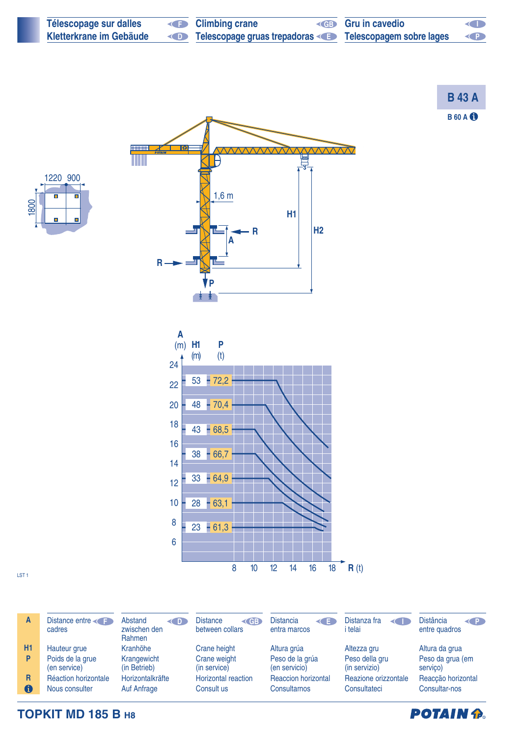| Télescopage sur dalles  | <b>E</b> Climbing crane                                       | <b>ED</b> Gru in cavedio | <b>KID</b>                                                                                                                |
|-------------------------|---------------------------------------------------------------|--------------------------|---------------------------------------------------------------------------------------------------------------------------|
| Kletterkrane im Gebäude | Telescopage gruas trepadoras < Figue Telescopagem sobre lages |                          | $\left( \left. \right. \right. \left. \right. \left. \right. \left. \right. \left. \right. \left. \left. \right. \right)$ |

**B 60 A B 43 A**



m





serviço) Reacção horizontal

 $\mathbf \Theta$ Nous consulter **TOPKIT MD 185 B H8**

Hauteur grue Poids de la grue (en service) Réaction horizontale

cadres

Distance entre

LST 1

**A**

**H1 P**

**R**

zwischen den Rahmen Kranhöhe Krangewicht (in Betrieb) Horizontalkräfte Auf Anfrage

**F** Abstand

**D** Distance between collars

> Crane height Crane weight (in service) Horizontal reaction Consult us

**GB** Distancia entra marcos **E** Distanza fra

> Altura grúa Peso de la grúa (en servicio) Reaccion horizontal **Consultarnos**

i telai Altezza gru

Peso della gru (in servizio) Reazione orizzontale **Consultateci** 

Altura da grua Peso da grua (em



Consultar-nos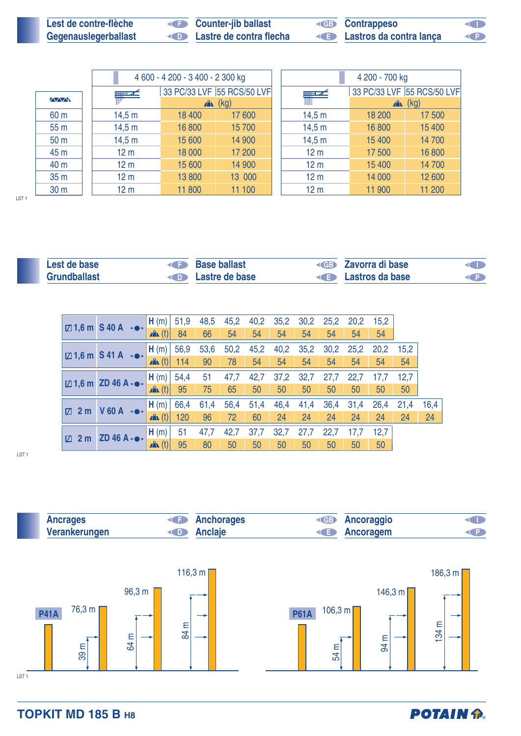| Lest de contre-flèche | <b>Counter-jib ballast</b> | <b>ED</b> Contrappeso   | <b>KID</b> |
|-----------------------|----------------------------|-------------------------|------------|
| Gegenauslegerballast  | Lastre de contra flecha    | Lastros da contra lança | O          |

|                 |                 | 4 600 - 4 200 - 3 400 - 2 300 kg |                            |                 | 4 200 - 700 kg |                            |
|-----------------|-----------------|----------------------------------|----------------------------|-----------------|----------------|----------------------------|
|                 | $+1$            |                                  | 33 PC/33 LVF 55 RCS/50 LVF | ▅▅▁⋌            |                | 33 PC/33 LVF 55 RCS/50 LVF |
| $\sqrt{2}$      |                 |                                  | $\mathbb{R}$ (kg)          |                 |                | $x^2$ (kg)                 |
| 60 <sub>m</sub> | 14,5 m          | 18 400                           | 17 600                     | 14,5 m          | 18 200         | 17 500                     |
| 55 <sub>m</sub> | 14,5 m          | 16 800                           | 15 700                     | 14,5 m          | 16 800         | 15 400                     |
| 50 <sub>m</sub> | 14,5 m          | 15 600                           | 14 900                     | 14,5 m          | 15 400         | 14 700                     |
| 45 m            | 12 <sub>m</sub> | 18 000                           | 17 200                     | 12 <sub>m</sub> | 17500          | 16 800                     |
| 40 m            | 12 <sub>m</sub> | 15 600                           | 14 900                     | 12 <sub>m</sub> | 15 400         | 14 700                     |
| 35 <sub>m</sub> | 12 <sub>m</sub> | 13 800                           | 13 000                     | 12 <sub>m</sub> | 14 000         | 12 600                     |
| 30 <sub>m</sub> | 12 <sub>m</sub> | 11 800                           | 11 100                     | 12 <sub>m</sub> | 11 900         | 11 200                     |

| Lest de base | <b>Base ballast</b>   | <b>Example 2</b> Zavorra di base | <b>CID</b> |
|--------------|-----------------------|----------------------------------|------------|
| Grundballast | <b>Eastre de base</b> | <b>Example 2</b> Lastros da base |            |

|                      | $\boxtimes$ 1,6 m S 40 A $\rightarrow$          | H(m)             | 51,9 | 48,5 | 45,2 | 40,2 | 35,2 | 30,2 | 25,2 | 20,2 | 15,2 |      |      |
|----------------------|-------------------------------------------------|------------------|------|------|------|------|------|------|------|------|------|------|------|
|                      |                                                 | $\mathbf{A}$ (t) | 84   | 66   | 54   | 54   | 54   | 54   | 54   | 54   | 54   |      |      |
|                      | $\boxtimes$ 1,6 m S 41 A $\rightarrow$          | H(m)             | 56,9 | 53,6 | 50,2 | 45,2 | 40,2 | 35,2 | 30,2 | 25,2 | 20,2 | 15.2 |      |
|                      |                                                 | $\mathbf{A}$ (t) | 114  | 90   | 78   | 54   | 54   | 54   | 54   | 54   | 54   | 54   |      |
|                      | $\boxtimes$ 1,6 m ZD 46 A $\cdot \bullet \cdot$ | H(m)             | 54,4 | 51   | 47,7 | 42,7 | 37,2 | 32,7 | 27,7 | 22,7 | 17,7 | 12,7 |      |
|                      |                                                 | $\mathbf{A}$ (t) | 95   | 75   | 65   | 50   | 50   | 50   | 50   | 50   | 50   | 50   |      |
| 2 <sub>m</sub><br>Ø. | $V$ 60 A $\rightarrow$                          | H(m)             | 66,4 | 61,4 | 56,4 | 51,4 | 46,4 | 41,4 | 36,4 | 31,4 | 26,4 | 21,4 | 16,4 |
|                      |                                                 | $\mathbf{A}$ (t) | 120  | 96   | 72   | 60   | 24   | 24   | 24   | 24   | 24   | 24   | 24   |
| <b>Z</b>             | $2 m$ ZD 46 A $\cdot \bullet \cdot$             | H(m)             | 51   | 47,7 | 42,7 | 37,7 | 32,7 | 27,7 | 22,7 | 17,7 | 12,7 |      |      |
|                      |                                                 | $\mathbf{A}$ (t) | 95   | 80   | 50   | 50   | 50   | 50   | 50   | 50   | 50   |      |      |

LST 1